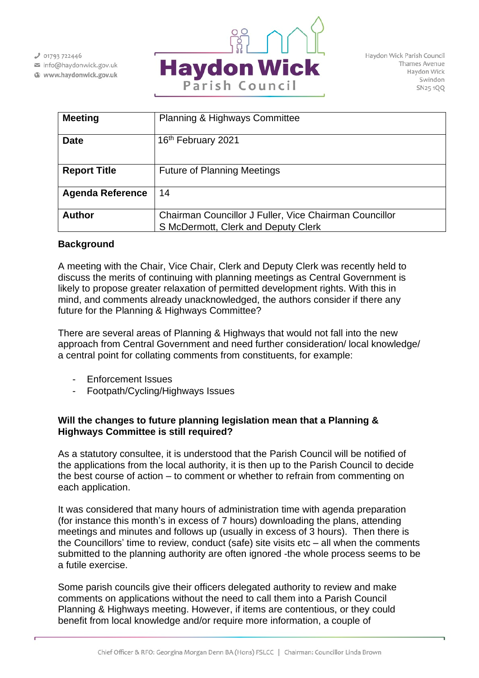$J$  01793 722446

info@haydonwick.gov.uk Www.haydonwick.gov.uk



Haydon Wick Parish Council Thames Avenue Haydon Wick Swindon SN25 1QQ

| <b>Meeting</b>          | <b>Planning &amp; Highways Committee</b>               |
|-------------------------|--------------------------------------------------------|
| <b>Date</b>             | 16th February 2021                                     |
| <b>Report Title</b>     | <b>Future of Planning Meetings</b>                     |
| <b>Agenda Reference</b> | 14                                                     |
| <b>Author</b>           | Chairman Councillor J Fuller, Vice Chairman Councillor |
|                         | S McDermott, Clerk and Deputy Clerk                    |

# **Background**

A meeting with the Chair, Vice Chair, Clerk and Deputy Clerk was recently held to discuss the merits of continuing with planning meetings as Central Government is likely to propose greater relaxation of permitted development rights. With this in mind, and comments already unacknowledged, the authors consider if there any future for the Planning & Highways Committee?

There are several areas of Planning & Highways that would not fall into the new approach from Central Government and need further consideration/ local knowledge/ a central point for collating comments from constituents, for example:

- Enforcement Issues
- Footpath/Cycling/Highways Issues

# **Will the changes to future planning legislation mean that a Planning & Highways Committee is still required?**

As a statutory consultee, it is understood that the Parish Council will be notified of the applications from the local authority, it is then up to the Parish Council to decide the best course of action – to comment or whether to refrain from commenting on each application.

It was considered that many hours of administration time with agenda preparation (for instance this month's in excess of 7 hours) downloading the plans, attending meetings and minutes and follows up (usually in excess of 3 hours). Then there is the Councillors' time to review, conduct (safe) site visits etc – all when the comments submitted to the planning authority are often ignored -the whole process seems to be a futile exercise.

Some parish councils give their officers delegated authority to review and make comments on applications without the need to call them into a Parish Council Planning & Highways meeting. However, if items are contentious, or they could benefit from local knowledge and/or require more information, a couple of